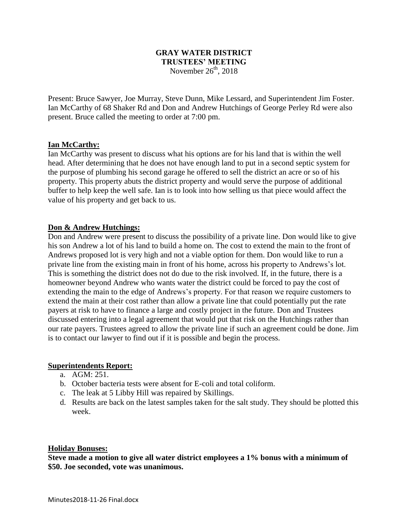# **GRAY WATER DISTRICT TRUSTEES' MEETING** November  $26<sup>th</sup>$ , 2018

Present: Bruce Sawyer, Joe Murray, Steve Dunn, Mike Lessard, and Superintendent Jim Foster. Ian McCarthy of 68 Shaker Rd and Don and Andrew Hutchings of George Perley Rd were also present. Bruce called the meeting to order at 7:00 pm.

### **Ian McCarthy:**

Ian McCarthy was present to discuss what his options are for his land that is within the well head. After determining that he does not have enough land to put in a second septic system for the purpose of plumbing his second garage he offered to sell the district an acre or so of his property. This property abuts the district property and would serve the purpose of additional buffer to help keep the well safe. Ian is to look into how selling us that piece would affect the value of his property and get back to us.

### **Don & Andrew Hutchings:**

Don and Andrew were present to discuss the possibility of a private line. Don would like to give his son Andrew a lot of his land to build a home on. The cost to extend the main to the front of Andrews proposed lot is very high and not a viable option for them. Don would like to run a private line from the existing main in front of his home, across his property to Andrews's lot. This is something the district does not do due to the risk involved. If, in the future, there is a homeowner beyond Andrew who wants water the district could be forced to pay the cost of extending the main to the edge of Andrews's property. For that reason we require customers to extend the main at their cost rather than allow a private line that could potentially put the rate payers at risk to have to finance a large and costly project in the future. Don and Trustees discussed entering into a legal agreement that would put that risk on the Hutchings rather than our rate payers. Trustees agreed to allow the private line if such an agreement could be done. Jim is to contact our lawyer to find out if it is possible and begin the process.

## **Superintendents Report:**

- a. AGM: 251.
- b. October bacteria tests were absent for E-coli and total coliform.
- c. The leak at 5 Libby Hill was repaired by Skillings.
- d. Results are back on the latest samples taken for the salt study. They should be plotted this week.

#### **Holiday Bonuses:**

**Steve made a motion to give all water district employees a 1% bonus with a minimum of \$50. Joe seconded, vote was unanimous.**